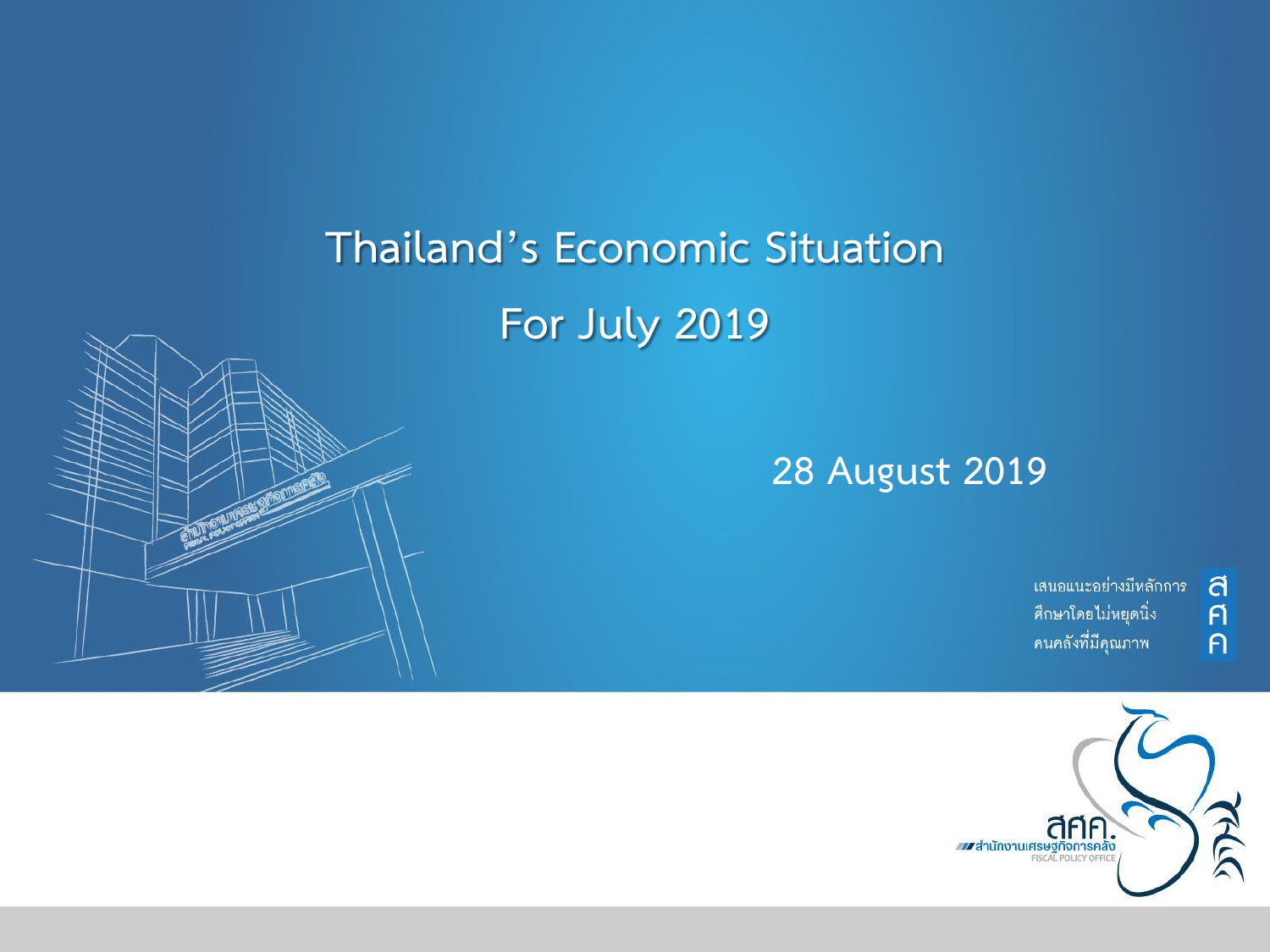## **Thailand's Economic Situation For July 2019**

#### **28 August 2019**

เสนอแนะอย่างมีหลักการ ศึกษาโดยไม่หยุดนิ่ง คนคลังที่มีคุณภาพ

a  $\overline{p}$ 

 $\overline{P}$ 

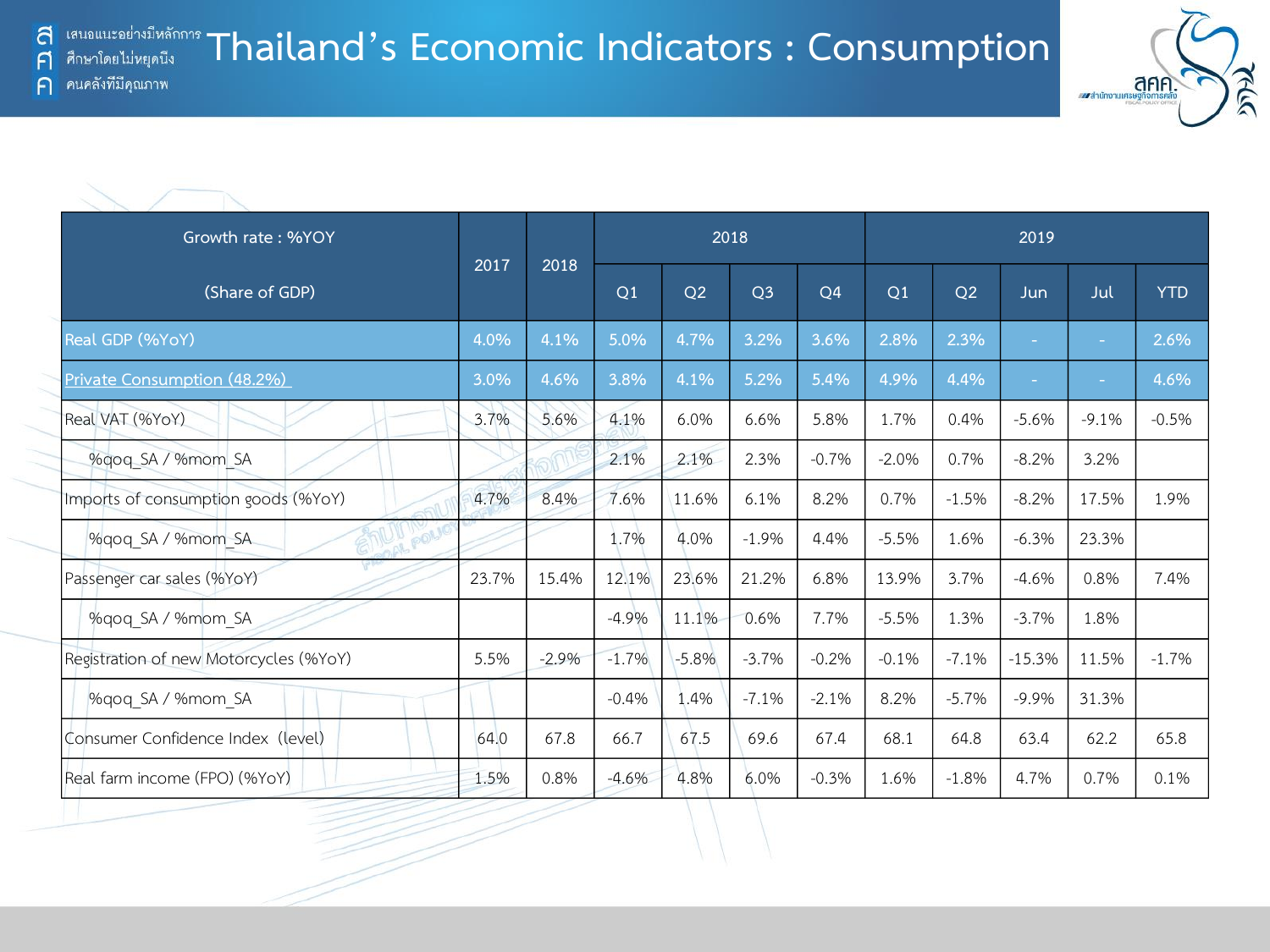# **TRAIDALIS AND THAILAND IS ECONOMIC Indicators : Consumption**

ิคนคลังที่มีคุณภาพ  $\bigcap$ 

| คนคลังที่มีคุณภาพ                      |       |         |         |         |                |                |         |         |            |                          |            |  |
|----------------------------------------|-------|---------|---------|---------|----------------|----------------|---------|---------|------------|--------------------------|------------|--|
|                                        |       |         |         |         |                |                |         |         |            |                          |            |  |
|                                        |       |         |         |         |                |                |         |         |            |                          |            |  |
| Growth rate: %YOY                      |       |         |         | 2018    |                |                |         |         |            | 2019                     |            |  |
| (Share of GDP)                         | 2017  | 2018    | Q1      | Q2      | Q <sub>3</sub> | Q <sub>4</sub> | Q1      | Q2      | <b>Jun</b> | Jul                      | <b>YTD</b> |  |
| Real GDP (%YoY)                        | 4.0%  | 4.1%    | 5.0%    | 4.7%    | 3.2%           | 3.6%           | 2.8%    | 2.3%    |            |                          | 2.6%       |  |
| Private Consumption (48.2%)            | 3.0%  | 4.6%    | 3.8%    | 4.1%    | 5.2%           | 5.4%           | 4.9%    | 4.4%    |            | $\overline{\phantom{a}}$ | 4.6%       |  |
| Real VAT (%YoY)                        | 3.7%  | 5.6%    | 4.1%    | 6.0%    | 6.6%           | 5.8%           | 1.7%    | 0.4%    | $-5.6%$    | $-9.1%$                  | $-0.5%$    |  |
| %gog SA / %mom SA                      |       |         | 2.1%    | 2.1%    | 2.3%           | $-0.7%$        | $-2.0%$ | 0.7%    | $-8.2%$    | 3.2%                     |            |  |
| Imports of consumption goods (%YoY)    | 4.7%  | 8.4%    | 7.6%    | 11.6%   | 6.1%           | 8.2%           | 0.7%    | $-1.5%$ | $-8.2%$    | 17.5%                    | 1.9%       |  |
| POLIC<br>%gog SA / %mom SA             |       |         | 1.7%    | 4.0%    | $-1.9%$        | 4.4%           | $-5.5%$ | 1.6%    | $-6.3%$    | 23.3%                    |            |  |
| Passenger car sales (%YoY)             | 23.7% | 15.4%   | 12.1%   | 23.6%   | 21.2%          | 6.8%           | 13.9%   | 3.7%    | $-4.6%$    | 0.8%                     | 7.4%       |  |
| %qoq SA / %mom SA                      |       |         | $-4.9%$ | 11.1%   | 0.6%           | 7.7%           | $-5.5%$ | 1.3%    | $-3.7%$    | 1.8%                     |            |  |
| Registration of new Motorcycles (%YoY) | 5.5%  | $-2.9%$ | $-1.7%$ | $-5.8%$ | $-3.7%$        | $-0.2%$        | $-0.1%$ | $-7.1%$ | $-15.3%$   | 11.5%                    | $-1.7%$    |  |
| %gog SA / %mom SA                      |       |         | $-0.4%$ | 1.4%    | $-7.1%$        | $-2.1%$        | 8.2%    | $-5.7%$ | $-9.9%$    | 31.3%                    |            |  |
| Consumer Confidence Index (level)      | 64.0  | 67.8    | 66.7    | 67.5    | 69.6           | 67.4           | 68.1    | 64.8    | 63.4       | 62.2                     | 65.8       |  |
| Real farm income (FPO) (%YoY)          | 1.5%  | 0.8%    | $-4.6%$ | 4.8%    | 6.0%           | $-0.3%$        | 1.6%    | $-1.8%$ | 4.7%       | 0.7%                     | 0.1%       |  |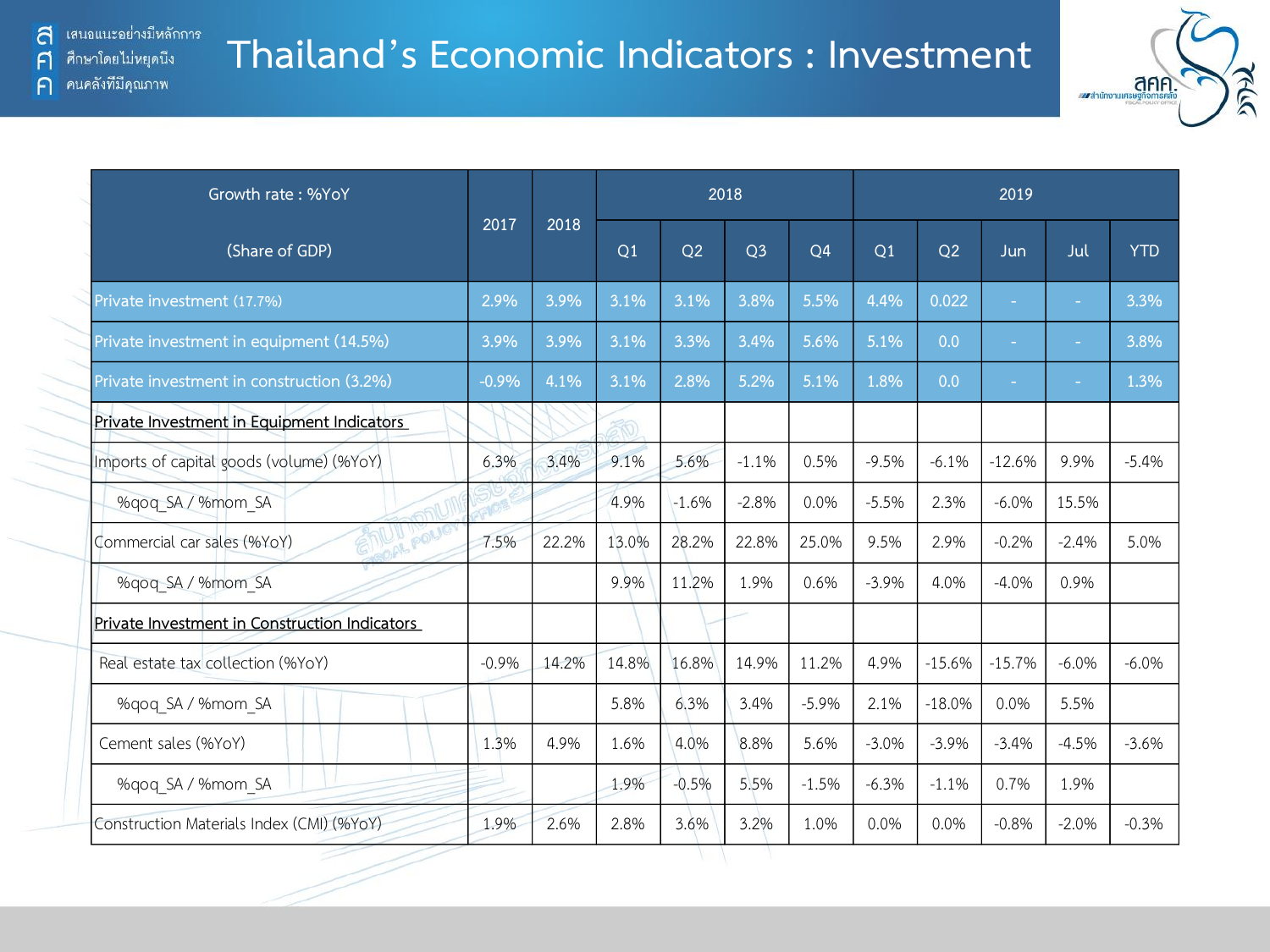#### **Thailand's Economic Indicators : Investment**



| Growth rate: %YoY                             |         |       |       |         | 2018           |                |         |          | 2019     |         |  |
|-----------------------------------------------|---------|-------|-------|---------|----------------|----------------|---------|----------|----------|---------|--|
| (Share of GDP)                                | 2017    | 2018  | Q1    | Q2      | Q <sub>3</sub> | Q <sub>4</sub> | Q1      | Q2       | Jun      | Jul     |  |
| Private investment (17.7%)                    | 2.9%    | 3.9%  | 3.1%  | 3.1%    | 3.8%           | 5.5%           | 4.4%    | 0.022    | $\sim$   | $\sim$  |  |
| Private investment in equipment (14.5%)       | 3.9%    | 3.9%  | 3.1%  | 3.3%    | 3.4%           | 5.6%           | 5.1%    | 0.0      | $\sim$   | $\sim$  |  |
| Private investment in construction (3.2%)     | $-0.9%$ | 4.1%  | 3.1%  | 2.8%    | 5.2%           | 5.1%           | 1.8%    | 0.0      | $\sim$   | $\sim$  |  |
| Private Investment in Equipment Indicators    |         |       |       |         |                |                |         |          |          |         |  |
| Imports of capital goods (volume) (%YoY)      | 6.3%    | 3.4%  | 9.1%  | 5.6%    | $-1.1%$        | 0.5%           | $-9.5%$ | $-6.1%$  | $-12.6%$ | 9.9%    |  |
| %qoq SA / %mom SA                             |         |       | 4.9%  | $-1.6%$ | $-2.8%$        | 0.0%           | $-5.5%$ | 2.3%     | $-6.0\%$ | 15.5%   |  |
| Commercial car sales (%YoY)                   | 7.5%    | 22.2% | 13.0% | 28.2%   | 22.8%          | 25.0%          | 9.5%    | 2.9%     | $-0.2%$  | $-2.4%$ |  |
| %gog SA / %mom SA                             |         |       | 9.9%  | 11.2%   | 1.9%           | 0.6%           | $-3.9%$ | 4.0%     | $-4.0%$  | 0.9%    |  |
| Private Investment in Construction Indicators |         |       |       |         |                |                |         |          |          |         |  |
| Real estate tax collection (%YoY)             | $-0.9%$ | 14.2% | 14.8% | 16.8%   | 14.9%          | 11.2%          | 4.9%    | $-15.6%$ | $-15.7%$ | $-6.0%$ |  |
| %qoq SA / %mom SA                             |         |       | 5.8%  | 6.3%    | 3.4%           | $-5.9%$        | 2.1%    | $-18.0%$ | 0.0%     | 5.5%    |  |
| Cement sales (%YoY)                           | 1.3%    | 4.9%  | 1.6%  | 4.0%    | 8.8%           | 5.6%           | $-3.0%$ | $-3.9%$  | $-3.4%$  | $-4.5%$ |  |
| %qoq SA / %mom SA                             |         |       | 1.9%  | $-0.5%$ | 5.5%           | $-1.5%$        | $-6.3%$ | $-1.1%$  | 0.7%     | 1.9%    |  |
| Construction Materials Index (CMI) (%YoY)     | 1.9%    | 2.6%  | 2.8%  | 3.6%    | 3.2%           | 1.0%           | 0.0%    | 0.0%     | $-0.8%$  | $-2.0%$ |  |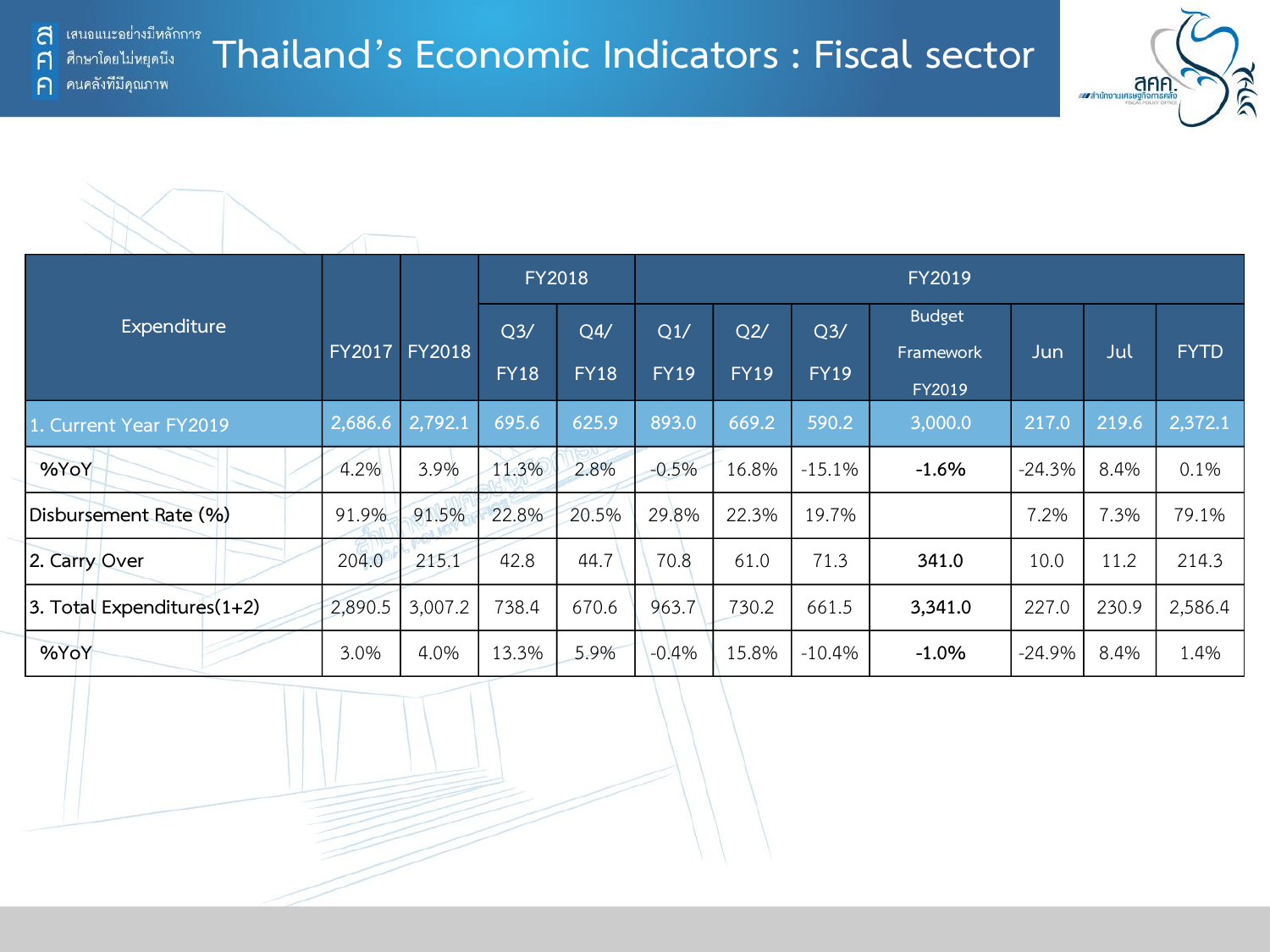ิคนคลังที่มีคุณภาพ

F

 $\bigcap$ 

### **Thailand's Economic Indicators : Fiscal sector**





|                            |               |               |                               | <b>FY2018</b>      | FY2019             |                    |                               |                                      |          |       |             |  |  |
|----------------------------|---------------|---------------|-------------------------------|--------------------|--------------------|--------------------|-------------------------------|--------------------------------------|----------|-------|-------------|--|--|
| Expenditure                | <b>FY2017</b> | <b>FY2018</b> | Q <sub>3</sub><br><b>FY18</b> | Q4/<br><b>FY18</b> | Q1/<br><b>FY19</b> | Q2/<br><b>FY19</b> | Q <sub>3</sub><br><b>FY19</b> | <b>Budget</b><br>Framework<br>FY2019 | Jun      | Jul   | <b>FYTD</b> |  |  |
| 1. Current Year FY2019     | 2,686.6       | 2,792.1       | 695.6                         | 625.9              | 893.0              | 669.2              | 590.2                         | 3,000.0                              | 217.0    | 219.6 | 2,372.1     |  |  |
| %YoY                       | 4.2%          | 3.9%          | 11.3%                         | 2.8%               | $-0.5%$            | 16.8%              | $-15.1%$                      | $-1.6%$                              | $-24.3%$ | 8.4%  | 0.1%        |  |  |
| Disbursement Rate (%)      | 91.9%         | 91.5%         | 22.8%                         | 20.5%              | 29.8%              | 22.3%              | 19.7%                         |                                      | 7.2%     | 7.3%  | 79.1%       |  |  |
| 2. Carry Over              | 204.0         | 215.1         | 42.8                          | 44.7               | 70.8               | 61.0               | 71.3                          | 341.0                                | 10.0     | 11.2  | 214.3       |  |  |
| 3. Total Expenditures(1+2) | 2,890.5       | 3,007.2       | 738.4                         | 670.6              | 963.7              | 730.2              | 661.5                         | 3,341.0                              | 227.0    | 230.9 | 2,586.4     |  |  |
| %YoY                       | 3.0%          | 4.0%          | 13.3%                         | 5.9%               | $-0.4%$            | 15.8%              | $-10.4%$                      | $-1.0%$                              | $-24.9%$ | 8.4%  | 1.4%        |  |  |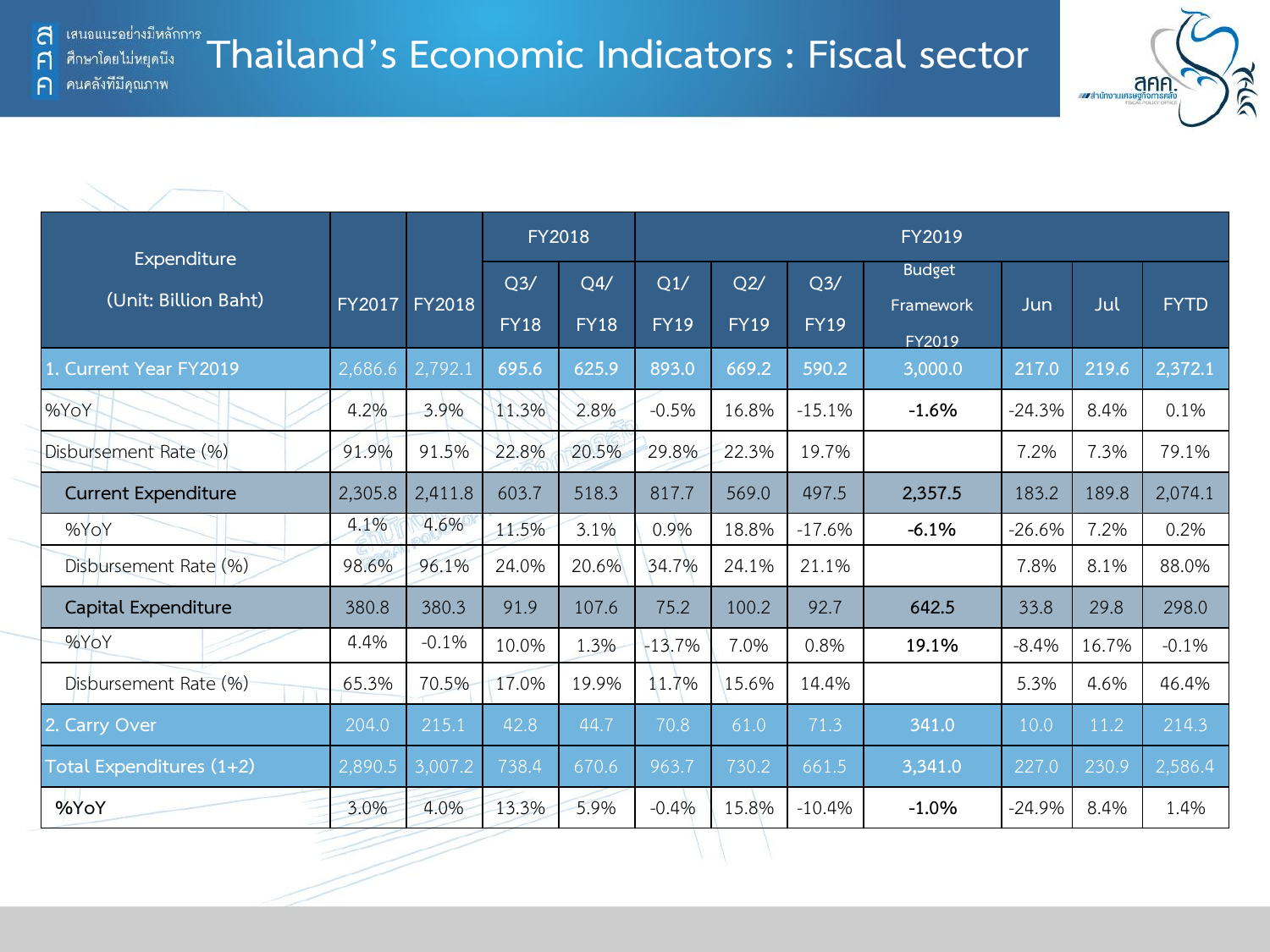F

 $\bigcap$ 



|                                     |               |               | <b>FY2018</b>      |                    |                    |                    |                    | FY2019                     |          |       | <b>FYTD</b><br>2,372.1<br>0.1%<br>79.1% |  |  |  |  |  |  |  |
|-------------------------------------|---------------|---------------|--------------------|--------------------|--------------------|--------------------|--------------------|----------------------------|----------|-------|-----------------------------------------|--|--|--|--|--|--|--|
| Expenditure<br>(Unit: Billion Baht) | <b>FY2017</b> | <b>FY2018</b> | Q3/<br><b>FY18</b> | Q4/<br><b>FY18</b> | Q1/<br><b>FY19</b> | Q2/<br><b>FY19</b> | Q3/<br><b>FY19</b> | <b>Budget</b><br>Framework | Jun      | Jul   |                                         |  |  |  |  |  |  |  |
| <b>Current Year FY2019</b>          | 2,686.6       | 2,792.1       | 695.6              | 625.9              | 893.0              | 669.2              | 590.2              | FY2019<br>3,000.0          | 217.0    | 219.6 |                                         |  |  |  |  |  |  |  |
| %YoY                                | 4.2%          | 3.9%          | 11.3%              | 2.8%               | $-0.5%$            | 16.8%              | $-15.1%$           | $-1.6%$                    | $-24.3%$ | 8.4%  |                                         |  |  |  |  |  |  |  |
| Disbursement Rate (%)               | 91.9%         | 91.5%         | 22.8%              | 20.5%              | 29.8%              | 22.3%              | 19.7%              |                            | 7.2%     | 7.3%  |                                         |  |  |  |  |  |  |  |
| <b>Current Expenditure</b>          | 2,305.8       | 2,411.8       | 603.7              | 518.3              | 817.7              | 569.0              | 497.5              | 2,357.5                    | 183.2    | 189.8 | 2,074.1                                 |  |  |  |  |  |  |  |
| %YoY                                | 4.1%          | 4.6%          | 11.5%              | 3.1%               | 0.9%               | 18.8%              | $-17.6%$           | $-6.1%$                    | $-26.6%$ | 7.2%  | 0.2%                                    |  |  |  |  |  |  |  |
| Disbursement Rate (%)               | 98.6%         | 96.1%         | 24.0%              | 20.6%              | 34.7%              | 24.1%              | 21.1%              |                            | 7.8%     | 8.1%  | 88.0%                                   |  |  |  |  |  |  |  |
| Capital Expenditure                 | 380.8         | 380.3         | 91.9               | 107.6              | 75.2               | 100.2              | 92.7               | 642.5                      | 33.8     | 29.8  | 298.0                                   |  |  |  |  |  |  |  |
| %YoY                                | 4.4%          | $-0.1%$       | 10.0%              | 1.3%               | $-13.7%$           | 7.0%               | 0.8%               | 19.1%                      | $-8.4%$  | 16.7% | $-0.1%$                                 |  |  |  |  |  |  |  |
| Disbursement Rate (%)               | 65.3%         | 70.5%         | 17.0%              | 19.9%              | 11.7%              | 15.6%              | 14.4%              |                            | 5.3%     | 4.6%  | 46.4%                                   |  |  |  |  |  |  |  |
| 2. Carry Over                       | 204.0         | 215.1         | 42.8               | 44.7               | 70.8               | 61.0               | 71.3               | 341.0                      | 10.0     | 11.2  | 214.3                                   |  |  |  |  |  |  |  |
| Total Expenditures (1+2)            | 2,890.5       | 3,007.2       | 738.4              | 670.6              | 963.7              | 730.2              | 661.5              | 3,341.0                    | 227.0    | 230.9 | 2,586.4                                 |  |  |  |  |  |  |  |
| %YoY                                | 3.0%          | 4.0%          | 13.3%              | 5.9%               | $-0.4%$            | 15.8%              | $-10.4%$           | $-1.0%$                    | $-24.9%$ | 8.4%  | 1.4%                                    |  |  |  |  |  |  |  |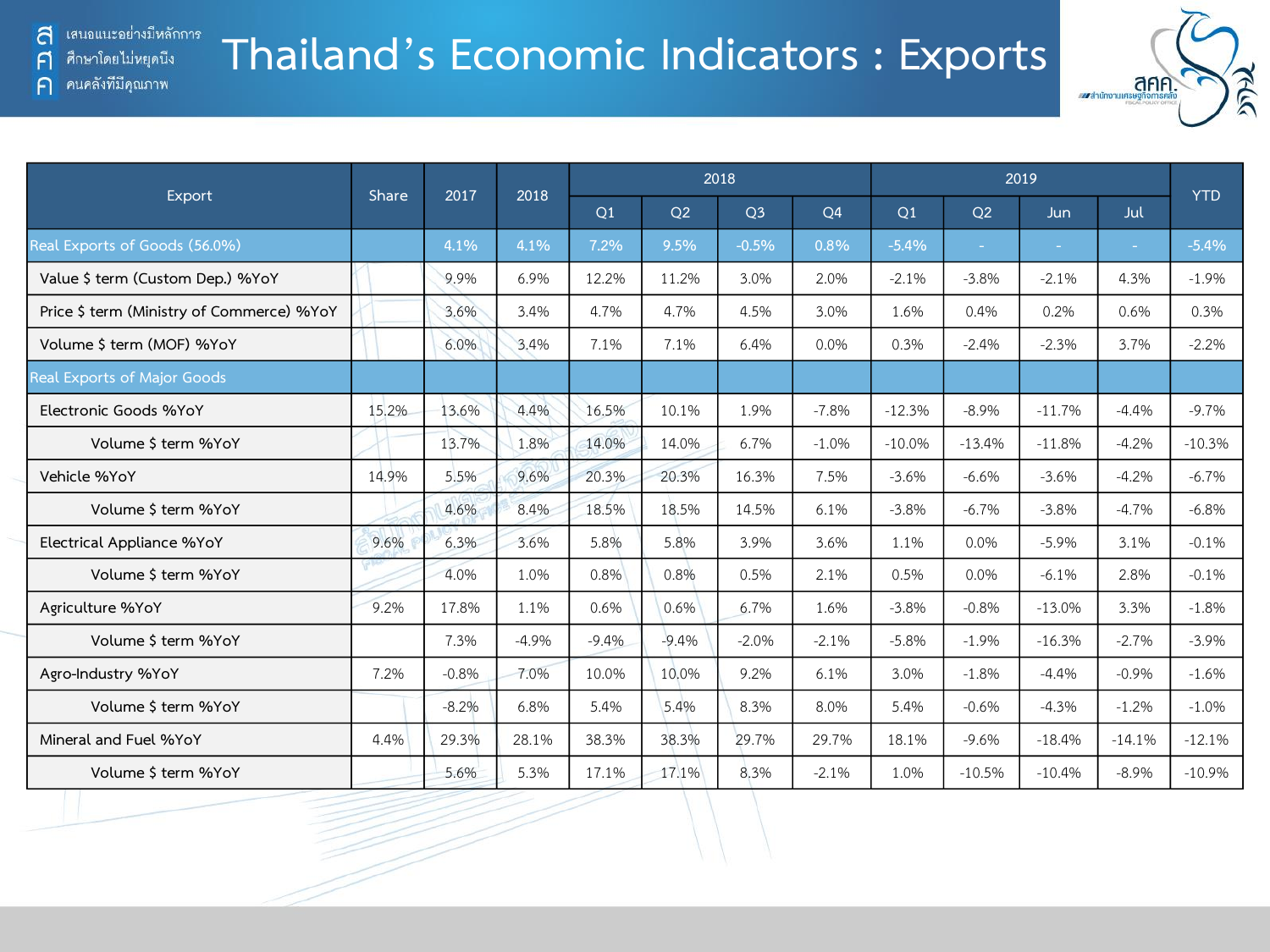F

 $\bigcap$ 

ศึกษาโดยไม่หยุดนี้ง

คนคลังที่มีคุณภาพ

### **Thailand's Economic Indicators : Exports**



|                                           | Share | 2017    | 2018    |         |         | 2018           |                |          | <b>YTD</b>     |          |          |          |
|-------------------------------------------|-------|---------|---------|---------|---------|----------------|----------------|----------|----------------|----------|----------|----------|
| Export                                    |       |         |         | Q1      | Q2      | O <sub>3</sub> | Q <sub>4</sub> | Q1       | O <sub>2</sub> | Jun.     | Jul      |          |
| Real Exports of Goods (56.0%)             |       | 4.1%    | 4.1%    | 7.2%    | 9.5%    | $-0.5%$        | 0.8%           | $-5.4%$  | ÷.             | ×.       | ÷.       | $-5.4%$  |
| Value \$ term (Custom Dep.) %YoY          |       | 9.9%    | 6.9%    | 12.2%   | 11.2%   | 3.0%           | 2.0%           | $-2.1%$  | $-3.8%$        | $-2.1%$  | 4.3%     | $-1.9%$  |
| Price \$ term (Ministry of Commerce) %YoY |       | 3.6%    | 3.4%    | 4.7%    | 4.7%    | 4.5%           | 3.0%           | 1.6%     | 0.4%           | 0.2%     | 0.6%     | 0.3%     |
| Volume \$ term (MOF) %YoY                 |       | 6.0%    | 3.4%    | 7.1%    | 7.1%    | 6.4%           | 0.0%           | 0.3%     | $-2.4%$        | $-2.3%$  | 3.7%     | $-2.2%$  |
| Real Exports of Major Goods               |       |         |         |         |         |                |                |          |                |          |          |          |
| Electronic Goods %YoY                     | 15.2% | 13.6%   | 4.4%    | 16.5%   | 10.1%   | 1.9%           | $-7.8%$        | $-12.3%$ | $-8.9%$        | $-11.7%$ | $-4.4%$  | $-9.7%$  |
| Volume \$ term %YoY                       |       | 13.7%   | 1.8%    | 14.0%   | 14.0%   | 6.7%           | $-1.0%$        | $-10.0%$ | $-13.4%$       | $-11.8%$ | $-4.2%$  | $-10.3%$ |
| Vehicle %YoY                              | 14.9% | 5.5%    | 9.6%    | 20.3%   | 20.3%   | 16.3%          | 7.5%           | $-3.6%$  | $-6.6%$        | $-3.6%$  | $-4.2%$  | $-6.7%$  |
| Volume \$ term %YoY                       |       | 4.6%    | 8.4%    | 18.5%   | 18.5%   | 14.5%          | 6.1%           | $-3.8%$  | $-6.7%$        | $-3.8%$  | $-4.7%$  | $-6.8%$  |
| Electrical Appliance %YoY                 | 9.6%  | 6.3%    | 3.6%    | 5.8%    | 5.8%    | 3.9%           | 3.6%           | 1.1%     | 0.0%           | $-5.9%$  | 3.1%     | $-0.1%$  |
| Volume \$ term %YoY                       |       | 4.0%    | 1.0%    | 0.8%    | 0.8%    | 0.5%           | 2.1%           | 0.5%     | 0.0%           | $-6.1%$  | 2.8%     | $-0.1%$  |
| Agriculture %YoY                          | 9.2%  | 17.8%   | 1.1%    | 0.6%    | 0.6%    | 6.7%           | 1.6%           | $-3.8%$  | $-0.8%$        | $-13.0%$ | 3.3%     | $-1.8%$  |
| Volume \$ term %YoY                       |       | 7.3%    | $-4.9%$ | $-9.4%$ | $-9.4%$ | $-2.0%$        | $-2.1%$        | $-5.8%$  | $-1.9%$        | $-16.3%$ | $-2.7%$  | $-3.9%$  |
| Agro-Industry %YoY                        | 7.2%  | $-0.8%$ | 7.0%    | 10.0%   | 10.0%   | 9.2%           | 6.1%           | 3.0%     | $-1.8%$        | $-4.4%$  | $-0.9%$  | $-1.6%$  |
| Volume \$ term %YoY                       |       | $-8.2%$ | 6.8%    | 5.4%    | 5.4%    | 8.3%           | 8.0%           | 5.4%     | $-0.6%$        | $-4.3%$  | $-1.2%$  | $-1.0%$  |
| Mineral and Fuel %YoY                     | 4.4%  | 29.3%   | 28.1%   | 38.3%   | 38.3%   | 29.7%          | 29.7%          | 18.1%    | $-9.6%$        | $-18.4%$ | $-14.1%$ | $-12.1%$ |
| Volume \$ term %YoY                       |       | 5.6%    | 5.3%    | 17.1%   | 17.1%   | 8.3%           | $-2.1%$        | 1.0%     | $-10.5%$       | $-10.4%$ | $-8.9%$  | $-10.9%$ |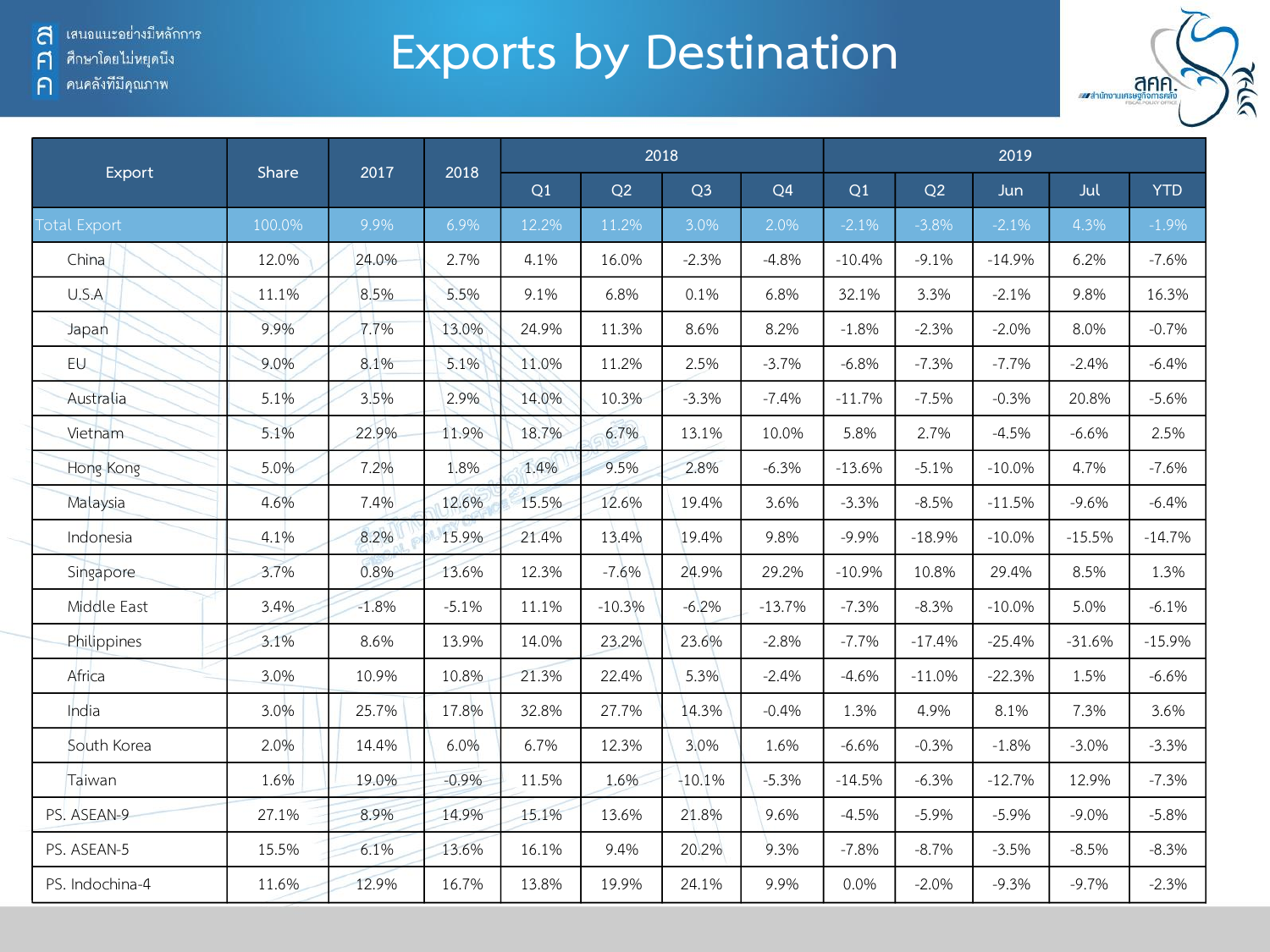้ เสนอแนะอย่างมีหลักการ a

ศึกษาโดยไม่หยุดนี้ง  $\mathsf{F}$ 

ิคนคลังที่มีคุณภาพ  $\bigcap$ 

# **Exports by Destination**



| Export              | Share  | 2017    | 2018    |       |          | 2018           |                |          |          | 2019     |          |            |
|---------------------|--------|---------|---------|-------|----------|----------------|----------------|----------|----------|----------|----------|------------|
|                     |        |         |         | Q1    | Q2       | Q <sub>3</sub> | Q <sub>4</sub> | Q1       | Q2       | Jun.     | Jul      | <b>YTD</b> |
| <b>Total Export</b> | 100.0% | 9.9%    | 6.9%    | 12.2% | 11.2%    | 3.0%           | 2.0%           | $-2.1%$  | $-3.8%$  | $-2.1%$  | 4.3%     | $-1.9%$    |
| China               | 12.0%  | 24.0%   | 2.7%    | 4.1%  | 16.0%    | $-2.3%$        | $-4.8%$        | $-10.4%$ | $-9.1%$  | $-14.9%$ | 6.2%     | $-7.6%$    |
| U.S.A               | 11.1%  | 8.5%    | 5.5%    | 9.1%  | 6.8%     | 0.1%           | 6.8%           | 32.1%    | 3.3%     | $-2.1%$  | 9.8%     | 16.3%      |
| Japan               | 9.9%   | 7.7%    | 13.0%   | 24.9% | 11.3%    | 8.6%           | 8.2%           | $-1.8%$  | $-2.3%$  | $-2.0%$  | 8.0%     | $-0.7%$    |
| EU                  | 9.0%   | 8.1%    | 5.1%    | 11.0% | 11.2%    | 2.5%           | $-3.7%$        | $-6.8%$  | $-7.3%$  | $-7.7%$  | $-2.4%$  | $-6.4%$    |
| Australia           | 5.1%   | 3.5%    | 2.9%    | 14.0% | 10.3%    | $-3.3%$        | $-7.4%$        | $-11.7%$ | $-7.5%$  | $-0.3%$  | 20.8%    | $-5.6%$    |
| Vietnam             | 5.1%   | 22.9%   | 11.9%   | 18.7% | 6.7%     | 13.1%          | 10.0%          | 5.8%     | 2.7%     | $-4.5%$  | $-6.6%$  | 2.5%       |
| Hong Kong           | 5.0%   | 7.2%    | 1.8%    | 1.4%  | 9.5%     | 2.8%           | $-6.3%$        | $-13.6%$ | $-5.1%$  | $-10.0%$ | 4.7%     | $-7.6%$    |
| Malaysia            | 4.6%   | 7.4%    | 12.6%   | 15.5% | 12.6%    | 19.4%          | 3.6%           | $-3.3%$  | $-8.5%$  | $-11.5%$ | $-9.6%$  | $-6.4%$    |
| Indonesia           | 4.1%   | 8.2%    | 15.9%   | 21.4% | 13.4%    | 19.4%          | 9.8%           | $-9.9%$  | $-18.9%$ | $-10.0%$ | $-15.5%$ | $-14.7%$   |
| Singapore           | 3.7%   | 0.8%    | 13.6%   | 12.3% | $-7.6%$  | 24.9%          | 29.2%          | $-10.9%$ | 10.8%    | 29.4%    | 8.5%     | 1.3%       |
| Middle East         | 3.4%   | $-1.8%$ | $-5.1%$ | 11.1% | $-10.3%$ | $-6.2%$        | $-13.7%$       | $-7.3%$  | $-8.3%$  | $-10.0%$ | 5.0%     | $-6.1%$    |
| Philippines         | 3.1%   | 8.6%    | 13.9%   | 14.0% | 23.2%    | 23.6%          | $-2.8%$        | $-7.7%$  | $-17.4%$ | $-25.4%$ | $-31.6%$ | $-15.9%$   |
| Africa              | 3.0%   | 10.9%   | 10.8%   | 21.3% | 22.4%    | 5.3%           | $-2.4%$        | $-4.6%$  | $-11.0%$ | $-22.3%$ | 1.5%     | $-6.6%$    |
| India               | 3.0%   | 25.7%   | 17.8%   | 32.8% | 27.7%    | 14.3%          | $-0.4%$        | 1.3%     | 4.9%     | 8.1%     | 7.3%     | 3.6%       |
| South Korea         | 2.0%   | 14.4%   | 6.0%    | 6.7%  | 12.3%    | 3.0%           | 1.6%           | $-6.6%$  | $-0.3%$  | $-1.8%$  | $-3.0%$  | $-3.3%$    |
| Taiwan              | 1.6%   | 19.0%   | $-0.9%$ | 11.5% | 1.6%     | $-10.1%$       | $-5.3%$        | $-14.5%$ | $-6.3%$  | $-12.7%$ | 12.9%    | $-7.3%$    |
| PS. ASEAN-9         | 27.1%  | 8.9%    | 14.9%   | 15.1% | 13.6%    | 21.8%          | 9.6%           | $-4.5%$  | $-5.9%$  | $-5.9%$  | $-9.0%$  | $-5.8%$    |
| PS. ASEAN-5         | 15.5%  | 6.1%    | 13.6%   | 16.1% | 9.4%     | 20.2%          | 9.3%           | $-7.8%$  | $-8.7%$  | $-3.5%$  | $-8.5%$  | $-8.3%$    |
| PS. Indochina-4     | 11.6%  | 12.9%   | 16.7%   | 13.8% | 19.9%    | 24.1%          | 9.9%           | 0.0%     | $-2.0%$  | $-9.3%$  | $-9.7%$  | $-2.3%$    |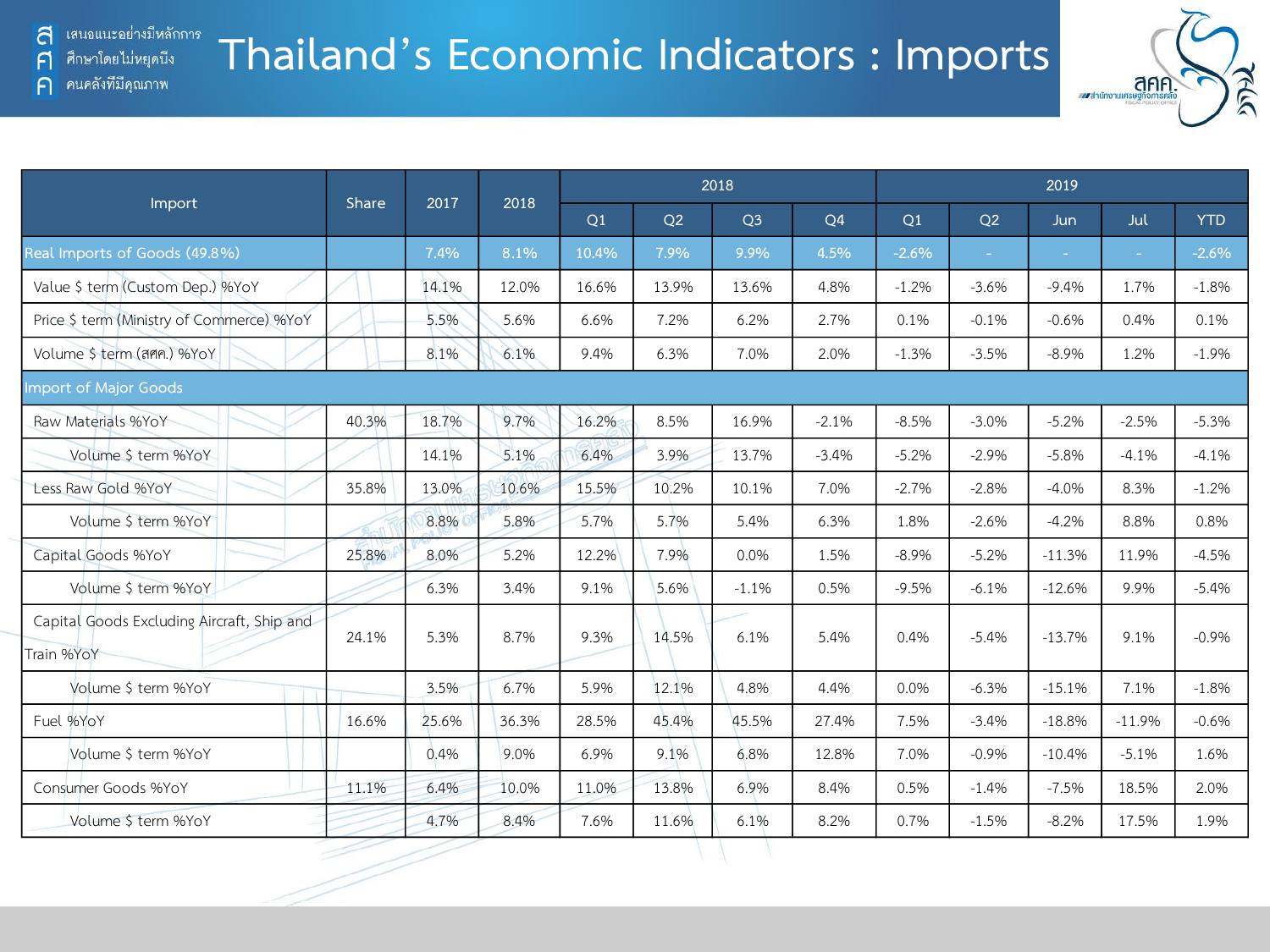คนคลังที่มีคุณภาพ

A

 $\bigcap$ 

### **Thailand's Economic Indicators : Imports**



|                                                          |       | 2017  | 2018  |       |       | 2018           |                | 2019    |                |            |          |            |  |
|----------------------------------------------------------|-------|-------|-------|-------|-------|----------------|----------------|---------|----------------|------------|----------|------------|--|
| Import                                                   | Share |       |       | Q1    | Q2    | Q <sub>3</sub> | Q <sub>4</sub> | Q1      | O <sub>2</sub> | <b>Jun</b> | Jul      | <b>YTD</b> |  |
| Real Imports of Goods (49.8%)                            |       | 7.4%  | 8.1%  | 10.4% | 7.9%  | 9.9%           | 4.5%           | $-2.6%$ | $\sim$         | $\sim$     |          | $-2.6%$    |  |
| Value \$ term (Custom Dep.) %YoY                         |       | 14.1% | 12.0% | 16.6% | 13.9% | 13.6%          | 4.8%           | $-1.2%$ | $-3.6%$        | $-9.4%$    | 1.7%     | $-1.8%$    |  |
| Price \$ term (Ministry of Commerce) %YoY                |       | 5.5%  | 5.6%  | 6.6%  | 7.2%  | 6.2%           | 2.7%           | 0.1%    | $-0.1%$        | $-0.6%$    | 0.4%     | 0.1%       |  |
| Volume \$ term (ann.) %YoY                               |       | 8.1%  | 6.1%  | 9.4%  | 6.3%  | 7.0%           | 2.0%           | $-1.3%$ | $-3.5%$        | $-8.9%$    | 1.2%     | $-1.9%$    |  |
| <b>Import of Major Goods</b>                             |       |       |       |       |       |                |                |         |                |            |          |            |  |
| Raw Materials %YoY                                       | 40.3% | 18.7% | 9.7%  | 16.2% | 8.5%  | 16.9%          | $-2.1%$        | $-8.5%$ | $-3.0%$        | $-5.2%$    | $-2.5%$  | $-5.3%$    |  |
| Volume \$ term %YoY                                      |       | 14.1% | 5.1%  | 6.4%  | 3.9%  | 13.7%          | $-3.4%$        | $-5.2%$ | $-2.9%$        | $-5.8%$    | $-4.1%$  | $-4.1%$    |  |
| Less Raw Gold %YoY                                       | 35.8% | 13.0% | 10.6% | 15.5% | 10.2% | 10.1%          | 7.0%           | $-2.7%$ | $-2.8%$        | $-4.0%$    | 8.3%     | $-1.2%$    |  |
| Volume \$ term %YoY                                      |       | 8.8%  | 5.8%  | 5.7%  | 5.7%  | 5.4%           | 6.3%           | 1.8%    | $-2.6%$        | $-4.2%$    | 8.8%     | 0.8%       |  |
| Capital Goods %YoY                                       | 25.8% | 8.0%  | 5.2%  | 12.2% | 7.9%  | 0.0%           | 1.5%           | $-8.9%$ | $-5.2%$        | $-11.3%$   | 11.9%    | $-4.5%$    |  |
| Volume \$ term %YoY                                      |       | 6.3%  | 3.4%  | 9.1%  | 5.6%  | $-1.1%$        | 0.5%           | $-9.5%$ | $-6.1%$        | $-12.6%$   | 9.9%     | $-5.4%$    |  |
| Capital Goods Excluding Aircraft, Ship and<br>Train %YoY | 24.1% | 5.3%  | 8.7%  | 9.3%  | 14.5% | 6.1%           | 5.4%           | 0.4%    | $-5.4%$        | $-13.7%$   | 9.1%     | $-0.9%$    |  |
| Volume \$ term %YoY                                      |       | 3.5%  | 6.7%  | 5.9%  | 12.1% | 4.8%           | 4.4%           | 0.0%    | $-6.3%$        | $-15.1%$   | 7.1%     | $-1.8%$    |  |
| Fuel %YoY                                                | 16.6% | 25.6% | 36.3% | 28.5% | 45.4% | 45.5%          | 27.4%          | 7.5%    | $-3.4%$        | $-18.8%$   | $-11.9%$ | $-0.6%$    |  |
| Volume \$ term %YoY                                      |       | 0.4%  | 9.0%  | 6.9%  | 9.1%  | 6.8%           | 12.8%          | 7.0%    | $-0.9%$        | $-10.4%$   | $-5.1%$  | 1.6%       |  |
| Consumer Goods %YoY                                      | 11.1% | 6.4%  | 10.0% | 11.0% | 13.8% | 6.9%           | 8.4%           | 0.5%    | $-1.4%$        | $-7.5%$    | 18.5%    | 2.0%       |  |
| Volume \$ term %YoY                                      |       | 4.7%  | 8.4%  | 7.6%  | 11.6% | 6.1%           | 8.2%           | 0.7%    | $-1.5%$        | $-8.2%$    | 17.5%    | 1.9%       |  |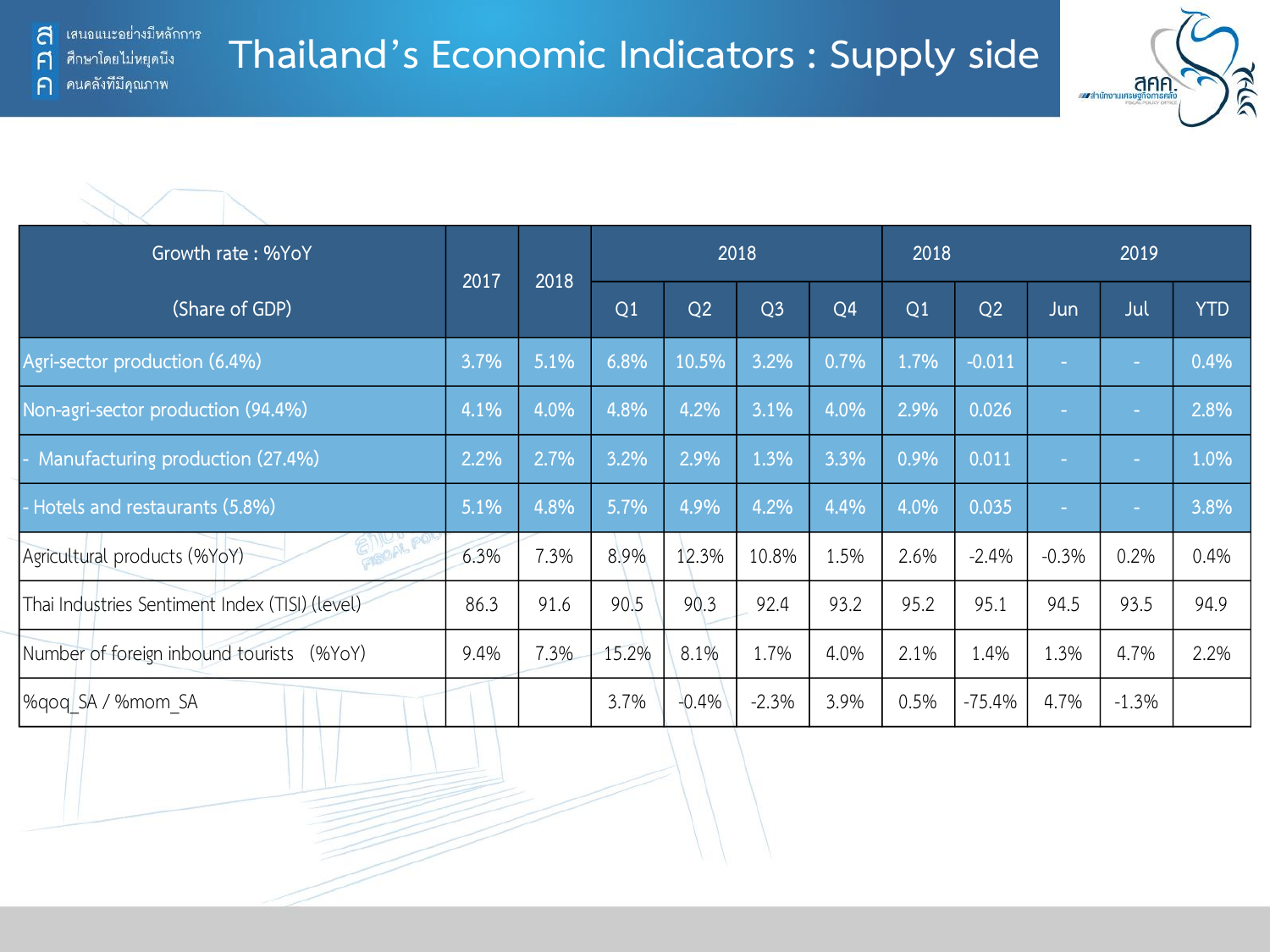

| Growth rate: %YoY                              |      |      | 2018           |         |                |                |      |          | 2019    |         |            |
|------------------------------------------------|------|------|----------------|---------|----------------|----------------|------|----------|---------|---------|------------|
| (Share of GDP)                                 | 2017 | 2018 | Q <sub>1</sub> | Q2      | Q <sub>3</sub> | Q <sub>4</sub> | Q1   | Q2       | Jun     | Jul     | <b>YTD</b> |
| Agri-sector production (6.4%)                  | 3.7% | 5.1% | 6.8%           | 10.5%   | 3.2%           | 0.7%           | 1.7% | $-0.011$ |         | ÷       | 0.4%       |
| Non-agri-sector production (94.4%)             | 4.1% | 4.0% | 4.8%           | 4.2%    | 3.1%           | 4.0%           | 2.9% | 0.026    | ÷.      | $\sim$  | 2.8%       |
| Manufacturing production (27.4%)               | 2.2% | 2.7% | 3.2%           | 2.9%    | 1.3%           | 3.3%           | 0.9% | 0.011    | ×.      | m.      | 1.0%       |
| - Hotels and restaurants (5.8%)                | 5.1% | 4.8% | 5.7%           | 4.9%    | 4.2%           | 4.4%           | 4.0% | 0.035    |         | $\sim$  | 3.8%       |
| GI ICAL<br>Agricultural products (%YoY)        | 6.3% | 7.3% | 8.9%           | 12.3%   | 10.8%          | 1.5%           | 2.6% | $-2.4%$  | $-0.3%$ | 0.2%    | 0.4%       |
| Thai Industries Sentiment Index (TISI) (level) | 86.3 | 91.6 | 90.5           | 90.3    | 92.4           | 93.2           | 95.2 | 95.1     | 94.5    | 93.5    | 94.9       |
| Number of foreign inbound tourists (%YoY)      | 9.4% | 7.3% | 15.2%          | 8.1%    | 1.7%           | 4.0%           | 2.1% | 1.4%     | 1.3%    | 4.7%    | 2.2%       |
| %gog SA / %mom SA                              |      |      | 3.7%           | $-0.4%$ | $-2.3%$        | 3.9%           | 0.5% | $-75.4%$ | 4.7%    | $-1.3%$ |            |